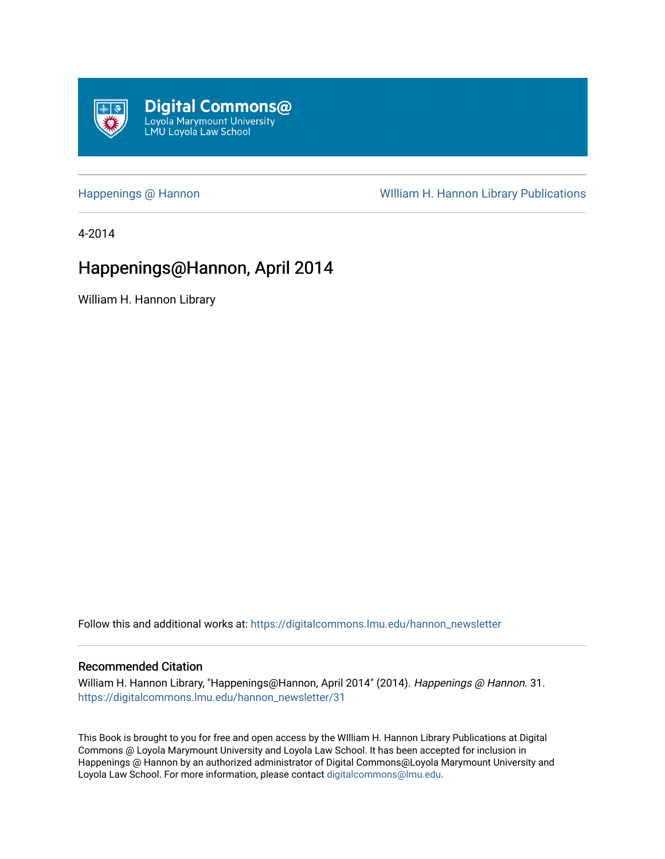<span id="page-0-0"></span>

[Happenings @ Hannon](https://digitalcommons.lmu.edu/hannon_newsletter) **Milliam H. Hannon Library Publications** 

4-2014

# Happenings@Hannon, April 2014

William H. Hannon Library

Follow this and additional works at: [https://digitalcommons.lmu.edu/hannon\\_newsletter](https://digitalcommons.lmu.edu/hannon_newsletter?utm_source=digitalcommons.lmu.edu%2Fhannon_newsletter%2F31&utm_medium=PDF&utm_campaign=PDFCoverPages) 

#### Recommended Citation

William H. Hannon Library, "Happenings@Hannon, April 2014" (2014). Happenings @ Hannon. 31. [https://digitalcommons.lmu.edu/hannon\\_newsletter/31](https://digitalcommons.lmu.edu/hannon_newsletter/31?utm_source=digitalcommons.lmu.edu%2Fhannon_newsletter%2F31&utm_medium=PDF&utm_campaign=PDFCoverPages)

This Book is brought to you for free and open access by the WIlliam H. Hannon Library Publications at Digital Commons @ Loyola Marymount University and Loyola Law School. It has been accepted for inclusion in Happenings @ Hannon by an authorized administrator of Digital Commons@Loyola Marymount University and Loyola Law School. For more information, please contact [digitalcommons@lmu.edu](mailto:digitalcommons@lmu.edu).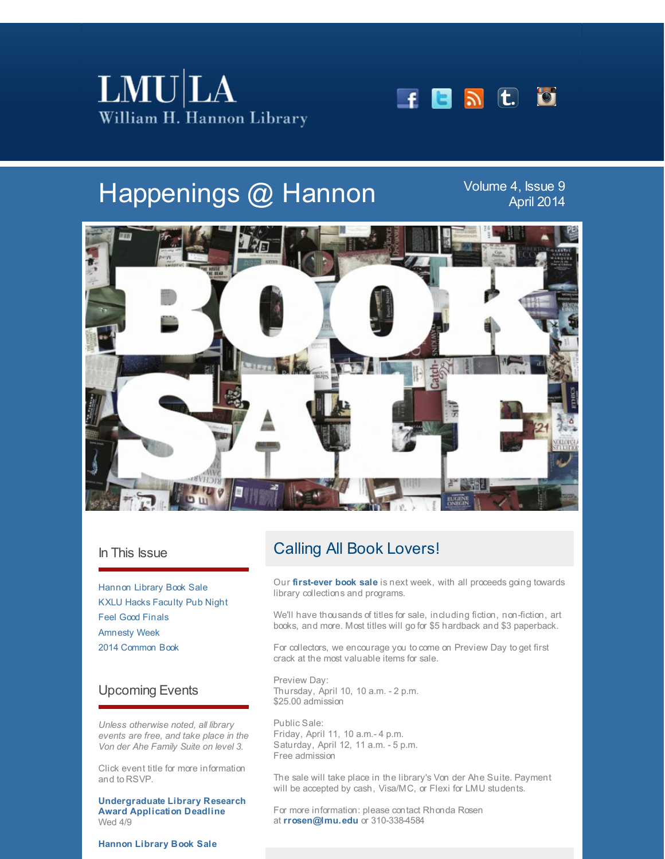



# Happenings @ Hannon

Volume 4, Issue 9 April 2014



### In This Issue

[Hannon](#page-0-0) Library Book Sale KXLU Hacks [Faculty](#page-0-0) Pub Night Feel Good [Finals](#page-0-0) [Amnesty](#page-0-0) Week 2014 [Common](#page-0-0) Book

## Upcoming Events

*Unless otherwise noted, all library events are free, and take place in the Von der Ahe Family Suite on level 3.*

Click event title for more information and to RSVP.

**[Undergraduate](http://r20.rs6.net/tn.jsp?f=001HYf5fjfDPUfsHcVVnZ5muU_17JsqZ7nQ2IY7XgRtWJK_CDAhrjULF0Vy0K4-YvNoUAshNZTIZdIdIQ9pnCJUGp4BmkEupk2-lDgkicgVB3VtKJKqvuKdVSfCtgjuEFUreI5rg9EAQtFlnFu7h_pcPClV0cp_IYf4KtRRTolDMOJitbfXaOy-We84cug4uZQ9unt52-Z5_hn-U4ZgDX7-7IjtolawkKhVKND-WTzSx_3eSJKRQ3j8ulW8gnQlEWIl5D3RLEBRMxU4zhFuYWUwhajKTco9FW14-MscsR9UElAReXgp5dku__68WC3dqwhjKJCHYz0zfkqI_i3kXLf3og==&c=&ch=) Library Research Award Application Deadline** Wed 4/9

# Calling All Book Lovers!

Our **[first-ever](http://r20.rs6.net/tn.jsp?f=001HYf5fjfDPUfsHcVVnZ5muU_17JsqZ7nQ2IY7XgRtWJK_CDAhrjULF7ZApfn7NJRdZecFjderHYrtAq77mU0KbWeuCfz250EoBkSaecRU-90bR21bpXpsq5QLS7Vh_JWfuHPyqmjP3hW4DSTghv00BUSsW3YTxCqx6uTsLlZSVTv4jT6pTyTen3KQADHM3rcU-czr1AaMq3gE1kYsjTZbKHgnGT2xHTwjwapn1TfEkCJEFIDm88mKkrVchkrvKnQC6cMJjvbQs3Pc_FXMEpj5lnyk5IgxKMY3yLIAoeI8lsFkcwLyv9HEpEvY8uCsK2nLJ-VSxHvr_cT_tqUxwjDiwMzQHyNq8k5cH865QIeMiWzADe6NGX2PShY_Li61zZdULmh7TTI5-z7pIynQi0o8RdtuLQz3wE0JyEbYM-NJP3sMaiTAfqV3cA==&c=&ch=) book sale** is next week, with all proceeds going towards library collections and programs.

We'll have thousands of titles for sale, including fiction, non-fiction, art books, and more. Most titles will go for \$5 hardback and \$3 paperback.

For collectors, we encourage you to come on Preview Day to get first crack at the most valuable items for sale.

Preview Day: Thursday, April 10, 10 a.m. - 2 p.m. \$25.00 admission

Public Sale: Friday, April 11, 10 a.m.- 4 p.m. Saturday, April 12, 11 a.m. - 5 p.m. Free admission

The sale will take place in the library's Von der Ahe Suite. Payment will be accepted by cash, Visa/MC, or Flexi for LMU students.

For more information: please contact Rhonda Rosen at **[rrosen@lmu.edu](mailto:rrosen@lmu.edu)** or 310-338-4584

**[Hannon](http://r20.rs6.net/tn.jsp?f=001HYf5fjfDPUfsHcVVnZ5muU_17JsqZ7nQ2IY7XgRtWJK_CDAhrjULF7ZApfn7NJRdZecFjderHYrtAq77mU0KbWeuCfz250EoBkSaecRU-90bR21bpXpsq5QLS7Vh_JWfuHPyqmjP3hW4DSTghv00BUSsW3YTxCqx6uTsLlZSVTv4jT6pTyTen3KQADHM3rcU-czr1AaMq3gE1kYsjTZbKHgnGT2xHTwjwapn1TfEkCJEFIDm88mKkrVchkrvKnQC6cMJjvbQs3Pc_FXMEpj5lnyk5IgxKMY3yLIAoeI8lsFkcwLyv9HEpEvY8uCsK2nLJ-VSxHvr_cT_tqUxwjDiwMzQHyNq8k5cH865QIeMiWzADe6NGX2PShY_Li61zZdULmh7TTI5-z7pIynQi0o8RdtuLQz3wE0JyEbYM-NJP3sMaiTAfqV3cA==&c=&ch=) Library Book Sale**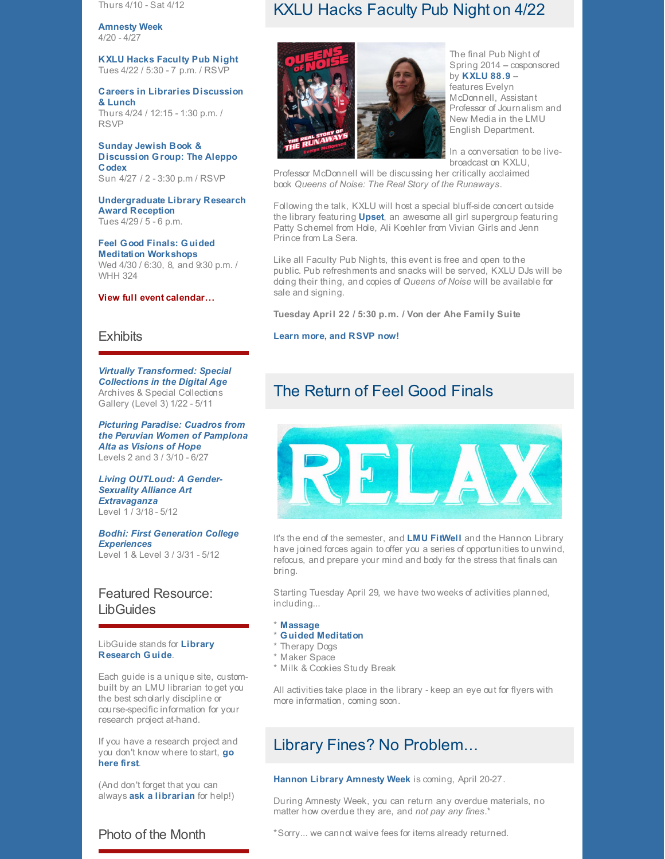Thurs 4/10 - Sat 4/12

**[Amnesty](http://r20.rs6.net/tn.jsp?f=001HYf5fjfDPUfsHcVVnZ5muU_17JsqZ7nQ2IY7XgRtWJK_CDAhrjULF26z6rpoIuHK91rQZNI-dklMEkNbdZacRzbw2_iHKou2musXHbhK0F7ncAX2oojPZ2KpTu0QduGcA5Zu5c8aULZy9CmX9HnOfIKXuj2xIhe5IyByu2Jg1PKhzqvQxCXFDav4cwwfzO7kVc_R_o5FxdGkC_L5ZMABrFx8qq4dRFQ4FiwL4GipB18KVi_tn-YOLd4HGpWvS0hHFqszBaLKdlrPd0-1VNU_thBSr_fBUibkGff2ud6XOfy_s_KqBL0vMx3FPAXtykkNet1a0QS4yxlGBSSMlQg2AOR_t20KA4xuXzsT-p_rmvr9TYH3HcWVcUN7SPBBFP7afs7nneoatFITTBq0cEMm_qh6Rd-KukoagHJx1u45NWGLIxV8gjvVYDfTqD83uuiNJmZLbYNTssHvLI3UHfBEI6y2V1lOObno&c=&ch=) Week** 4/20 - 4/27

**KXLU Hacks [Faculty](http://r20.rs6.net/tn.jsp?f=001HYf5fjfDPUfsHcVVnZ5muU_17JsqZ7nQ2IY7XgRtWJK_CDAhrjULF26z6rpoIuHK_lRa8Q3Zqxn3spP1gCb6Bt_SyMvf26yMt8AZGkBgUU2Z2F9b4p5fZIinPuypH-uURRbuw7K7WmD7QxyVD1qc5nnu5bRtlJjCTq6vf44xvsglJBLJXiW4AqC6N-lhk9ZF1aOOgfO8zOJ9JsW2R03sBnrYZINfQWeKhArl3sZRd9Iv0guFaNpBXpkheGI0QAOm4boJ-CEW6iGJ_tO0kIMiUFVT2zzH649LqzjdAHHpc97v7cXkf90uGwgoGV7Zm6z7P7vPJls9XsdYiOHidNf37BH4PZM5p2Sd&c=&ch=) Pub Night** Tues 4/22 / 5:30 - 7 p.m. / RSVP

**Careers in Libraries [Discussion](http://r20.rs6.net/tn.jsp?f=001HYf5fjfDPUfsHcVVnZ5muU_17JsqZ7nQ2IY7XgRtWJK_CDAhrjULF26z6rpoIuHKfTgMwWKd3bphkpu9szYG9100ZhL0Xfix2sikPAk-V7i3fte_JTnVPAitv2a3nNp41khGEbxnakNV7zVMCiPlXiQQB6IzeZbYSQHDTKmYzBoCKUyUbhDBmm5g3fyjCYfEHcAG-odNpdNBCeoPoPf_gDz55eearxIeE9syOCU4VvFRv43gaP2_QobyACiqzIMiNHv4T3OMWU1q3Zuo36GMqDCG_SoFV3uZxmjs__2QtGNMSvMtlRft8F9c9UaGiO8p7ufU-XyvkRe0xaEY6zhj0e2Ofsp8crKZ&c=&ch=) & Lunch** Thurs 4/24 / 12:15 - 1:30 p.m. / RSVP

**Sunday Jewish Book & [Discussion](http://r20.rs6.net/tn.jsp?f=001HYf5fjfDPUfsHcVVnZ5muU_17JsqZ7nQ2IY7XgRtWJK_CDAhrjULF5JpcMK-YTFjV8cfFypHrxHItcRB1SyugjfxuRFaCf_xLc5vZXk4Cp9m3Q9MLTpiYgY84Zj5jqJXXNpNfMR32qcju_RC-GMzQ8QrhWPe85A6SIrhgMWvTG8Wfss406Pdw6Dx3hgsmBJMj34EvQzD8gyBii1Qgk0892YccWPeOcEpQ9FifIvkW4XbkK0n30901GLDqf3Z-8pUI6JB4RSCrA37EBNhvJ20YVBwXCNbJIsPMSQ_A8B7FWnTRky4Zq1YSH7yPN92QhmiXOIUWDdYoY1OQLPjfABuSA==&c=&ch=) Group: The Aleppo Codex** Sun 4/27 / 2 - 3:30 p.m / RSVP

**[Undergraduate](http://r20.rs6.net/tn.jsp?f=001HYf5fjfDPUfsHcVVnZ5muU_17JsqZ7nQ2IY7XgRtWJK_CDAhrjULF0Vy0K4-YvNoUAshNZTIZdIdIQ9pnCJUGp4BmkEupk2-lDgkicgVB3VtKJKqvuKdVSfCtgjuEFUreI5rg9EAQtFlnFu7h_pcPClV0cp_IYf4KtRRTolDMOJitbfXaOy-We84cug4uZQ9unt52-Z5_hn-U4ZgDX7-7IjtolawkKhVKND-WTzSx_3eSJKRQ3j8ulW8gnQlEWIl5D3RLEBRMxU4zhFuYWUwhajKTco9FW14-MscsR9UElAReXgp5dku__68WC3dqwhjKJCHYz0zfkqI_i3kXLf3og==&c=&ch=) Library Research Award Reception** Tues 4/29 / 5 - 6 p.m.

**Feel Good Finals: Guided Meditation [Workshops](http://r20.rs6.net/tn.jsp?f=001HYf5fjfDPUfsHcVVnZ5muU_17JsqZ7nQ2IY7XgRtWJK_CDAhrjULF26z6rpoIuHKm5EAKYuil_L4L8NwdTM7E-3UUirJhBnt3N0gMe-KOGECEZv6i0Ff_gUS0rkLE7cd7WZmmAbGOVoC2YKBXUTos6BGA2CiMiqxANKUsj-SP3s3fdyEr6eMjcyJyCLeQxxJPOhVDfvYAW8VHMjb7YePOSqCixysg9byk6cNWetReroA4ZIogWBVZ-g4JSK25wnVNQvnOTjF4S_2y9MWhAPLNQcTU56Waa4QkBSynfW296_8NZ0sinzBS6h4wR9KRp7SpPBogvInNKP-X9wpvBmRzDoq6W_fwoWF&c=&ch=)** Wed 4/30 / 6:30, 8, and 9:30 p.m. / WHH 324

#### **View full event [calendar...](http://r20.rs6.net/tn.jsp?f=001HYf5fjfDPUfsHcVVnZ5muU_17JsqZ7nQ2IY7XgRtWJK_CDAhrjULF4YNDAxZ_vavWyec5SlFfR7YaIwZ2uF4X1S3NIOvgwxKyglBOCQrO5Uq_7gr_2OmjiQiL4pEw6s0GGXR9gBXG2mDfO7CblpkfVfw2lwo95gH03eeO1e2nUNOgTccMEPvBIOVU5l6jnDPs19WWfvjcmzwH8MbluVlSoWXEfrvSJuU7kagKP4TZc8t3r6ouEogQ1yqLRATi_YLRpMluZ6bQAAFXQqVaD6WDDD-qCTDm8GiH1g0tX54yoO0eQIxvjk1zQy_lEk5hic_GypigN_EHdk=&c=&ch=)**

#### **Exhibits**

*Virtually [Transformed:](http://r20.rs6.net/tn.jsp?f=001HYf5fjfDPUfsHcVVnZ5muU_17JsqZ7nQ2IY7XgRtWJK_CDAhrjULF26z6rpoIuHKzblu9DI0lnaugzttyuowU0I-ENg1VwHc3EGjvfuNpBAtmX9766jwQE6n7LeP-Ma7OGMcuo4C4P52jFQ_w0moAgrAeP6r70oKbMjY_ydy6Twj37IPhTadUX-EvWIS5FPX-3ST2fYsMJaGis8N2IO-k07PK-4xmvwNWyLd5ljKjBFdeA5pLYTwjWFB0eArsJmCuoykWpuoukmX3rE6mkhk_F0zANUt81XogpJkbinwlJOfCq634BlgDcDaqPd1zYAuHTw9ezq43YiPLGntItFOmwB8yTcZ5iLy2tS1V3U8qj2zzFbqGFC6f7vFcMDyn_outQMPX7xBXJ2s1I-J0bMkKkmeXpyimhczmOHXTY_pK7u5lp_2StZozXnZpQaAKenE&c=&ch=) Special Collections in the Digital Age* Archives & Special Collections Gallery (Level 3) 1/22 - 5/11

*Picturing Paradise: Cuadros from the Peruvian Women of [Pamplona](http://r20.rs6.net/tn.jsp?f=001HYf5fjfDPUfsHcVVnZ5muU_17JsqZ7nQ2IY7XgRtWJK_CDAhrjULF26z6rpoIuHKQ-MisIhKBvEKIfxU4tp0ynYRrlb-EZCWNVhse3nEiZX5jM1etlZSquZOuv6E60ZzgCdzgExu8weldDP92Zgw1Wmp8DZdbqjyAVO0k_lDJgCdkBXW28VoxJ8IYS1czUGxB_sh3b-VNEsXIt06k1femmS6jJvc_N2Nu1Sj_aUY0_SfwGuVY4b1NIBe1SiLtAj2jS1CL-LZqX_Zr9xJ3nPMifKKDM2BjTv7twKyhS5tKdBNzlBHnR3OhruwxTxbzJPtFpkrMCXkhxy7gy6DqDJHpB7CjbctpO-7&c=&ch=) Alta as Visions of Hope* Levels 2 and 3 / 3/10 - 6/27

*Living OUTLoud: A Gender-Sexuality Alliance Art [Extravaganza](http://r20.rs6.net/tn.jsp?f=001HYf5fjfDPUfsHcVVnZ5muU_17JsqZ7nQ2IY7XgRtWJK_CDAhrjULF7ZApfn7NJRd0UpG8BttYtJ46WFIUB5TJ-i0OHkZ8wEXquafOsc3i3d2LCECexIKrIj4VB_YiPpBNlapB-Y_CZA6LBTQVIyX2uB0Xew6uZesAy9VjiY_-BQXcwm673Hb6vfLT6U3qEbvAVGSmBJfWheIDk1IOKHOCmVgPs01Y0emGFlw_3kjDLWh3ZdyOe5hLDZETQB-VGqAGc3CusZccvFxCAN8OwXa7-2837VCJQHV6vRZs3dM1kbmAxsO5tusgEE0FW28AUNDiEXmRD7Cf3SunqAacdbC6hcac6j-kHtWfw3eK5ApDKmVGrQGtc7RY07Jt4n85U0S&c=&ch=)* Level 1 / 3/18 - 5/12

*Bodhi: First Generation College [Experiences](http://r20.rs6.net/tn.jsp?f=001HYf5fjfDPUfsHcVVnZ5muU_17JsqZ7nQ2IY7XgRtWJK_CDAhrjULF7ZApfn7NJRd0UpG8BttYtJ46WFIUB5TJ-i0OHkZ8wEXquafOsc3i3d2LCECexIKrIj4VB_YiPpBNlapB-Y_CZA6LBTQVIyX2uB0Xew6uZesAy9VjiY_-BQXcwm673Hb6vfLT6U3qEbvAVGSmBJfWheIDk1IOKHOCmVgPs01Y0emGFlw_3kjDLWh3ZdyOe5hLDZETQB-VGqAGc3CusZccvFxCAN8OwXa7-2837VCJQHV6vRZs3dM1kbmAxsO5tusgEE0FW28AUNDiEXmRD7Cf3SunqAacdbC6hcac6j-kHtWfw3eK5ApDKmVGrQGtc7RY07Jt4n85U0S&c=&ch=)* Level 1 & Level 3 / 3/31 - 5/12

## Featured Resource: **LibGuides**

LibGuide stands for **Library [Research](http://r20.rs6.net/tn.jsp?f=001HYf5fjfDPUfsHcVVnZ5muU_17JsqZ7nQ2IY7XgRtWJK_CDAhrjULF26z6rpoIuHKLw8udaxILsu4QymUq0Dn4RBHaRu-WK1ucbLYc3DJV8WADwEM2c8VoSOPNmVcQkbuwGUojNUnHlH5hOFBmL40Uyng4k0w-zr5P0p9Nh_Cpn0-iGAwLDzS5uPuRoSfA0i-NK27eVJ3h_QsY7h5JfAYBhDVkXT9NFBpKYZlCB3oImLhxGoutGP0CMpVhdHvsB7YkWrGqKsz9swq60h3Sz1E5Uc8JUir5bsHlf01a9mFheLbWnqBHBvv2mYN1xXfI1cDUnVsGgjwzBW4qRCpBnTe2w==&c=&ch=) Guide**.

Each guide is a unique site, custombuilt by an LMU librarian to get you the best scholarly discipline or course-specific information for your research project at-hand.

If you have a research project and you don't know [where](http://r20.rs6.net/tn.jsp?f=001HYf5fjfDPUfsHcVVnZ5muU_17JsqZ7nQ2IY7XgRtWJK_CDAhrjULF26z6rpoIuHKLw8udaxILsu4QymUq0Dn4RBHaRu-WK1ucbLYc3DJV8WADwEM2c8VoSOPNmVcQkbuwGUojNUnHlH5hOFBmL40Uyng4k0w-zr5P0p9Nh_Cpn0-iGAwLDzS5uPuRoSfA0i-NK27eVJ3h_QsY7h5JfAYBhDVkXT9NFBpKYZlCB3oImLhxGoutGP0CMpVhdHvsB7YkWrGqKsz9swq60h3Sz1E5Uc8JUir5bsHlf01a9mFheLbWnqBHBvv2mYN1xXfI1cDUnVsGgjwzBW4qRCpBnTe2w==&c=&ch=) to start, **go here first**.

(And don't forget that you can always **ask a [librarian](http://r20.rs6.net/tn.jsp?f=001HYf5fjfDPUfsHcVVnZ5muU_17JsqZ7nQ2IY7XgRtWJK_CDAhrjULF-LhwBAJdgGTIBisX_Aq_-EQt7aVRGU7zDhBJ-ZUvDfGJ3QCWXSzRR7YtA_d807FUOWR7SFXB_TdY-6MbzxX055Orz3Ak7uvKEikaopbG3zEECH_Xd68MM91tKOWH7ffJvGMET41iYEagawcmaUJa3fHhX8q6pCp4RpYr6fvS4fIIP2RF7GJCjy8rDasa0OyVWNXHO3qdowq6G6DRS5roKCSMU0tuWN_nUEYq1fvCS20QNsYV35c-l0Re_Zmb9p6wkiD8VW38hsYDl2KcgtDEHoWxwLjdlKqqQ==&c=&ch=)** for help!)

Photo of the Month

## KXLU Hacks Faculty Pub Night on 4/22



The final Pub Night of Spring 2014 - cosponsored by **[KXLU](http://r20.rs6.net/tn.jsp?f=001HYf5fjfDPUfsHcVVnZ5muU_17JsqZ7nQ2IY7XgRtWJK_CDAhrjULF26z6rpoIuHKq3X_qpeHIgv_oPDNMSikKabXqXSynSM_X5HFNhoPWz78MlsiX5sdoIvSUA2DESODzKZj-nmae91Hu7EN22vUBrBSFvjmZCbuIPz-OuPQg96ral5FCp9OO6khOnAUQV9FgoqgbZvNGt4LtXA_A1sNjiRDgoxrETFt0ZbZftizLnIHzO_X45jaduRbk3od048pegBYWZ7faMro4MOGpqJgmY0lsT_EMiyUoy7OABi52YHm03nuNtBUwlBl-XPTaJJTrQMHaZ10qOI=&c=&ch=) 88.9** - features Evelyn McDonnell, Assistant Professor of Journalism and New Media in the LMU English Department.

In a conversation to be livebroadcast on KXLU,

Professor McDonnell will be discussing her critically acclaimed book *Queens of Noise: The Real Story of the Runaways*.

Following the talk, KXLU will host a special bluff-side concert outside the library featuring **[Upset](http://r20.rs6.net/tn.jsp?f=001HYf5fjfDPUfsHcVVnZ5muU_17JsqZ7nQ2IY7XgRtWJK_CDAhrjULF5HcWMTvb0VfICI9-GZeuhnKiIVDW21K9gO5m4tQydSQm75dgyCtIS6XWML5weL7M0Vgy27_VK7KH1iGrA612263WXt5WNGxItRWZRBEmclzYxk9XhpHfs66AfSvd4LzHxk26oPn2woP&c=&ch=)**, an awesome all girl supergroup featuring Patty Schemel from Hole, Ali Koehler from Vivian Girls and Jenn Prince from La Sera.

Like all Faculty Pub Nights, this event is free and open to the public. Pub refreshments and snacks will be served, KXLU DJs will be doing their thing, and copies of *Queens of Noise* will be available for sale and signing.

**Tuesday April 22 / 5:30 p.m. / Von der Ahe Family Suite**

**Learn more, and [RSVP](http://r20.rs6.net/tn.jsp?f=001HYf5fjfDPUfsHcVVnZ5muU_17JsqZ7nQ2IY7XgRtWJK_CDAhrjULF26z6rpoIuHK_lRa8Q3Zqxn3spP1gCb6Bt_SyMvf26yMt8AZGkBgUU2Z2F9b4p5fZIinPuypH-uURRbuw7K7WmD7QxyVD1qc5nnu5bRtlJjCTq6vf44xvsglJBLJXiW4AqC6N-lhk9ZF1aOOgfO8zOJ9JsW2R03sBnrYZINfQWeKhArl3sZRd9Iv0guFaNpBXpkheGI0QAOm4boJ-CEW6iGJ_tO0kIMiUFVT2zzH649LqzjdAHHpc97v7cXkf90uGwgoGV7Zm6z7P7vPJls9XsdYiOHidNf37BH4PZM5p2Sd&c=&ch=) now!**

## The Return of Feel Good Finals



It's the end of the semester, and **LMU [FitWell](http://r20.rs6.net/tn.jsp?f=001HYf5fjfDPUfsHcVVnZ5muU_17JsqZ7nQ2IY7XgRtWJK_CDAhrjULF26z6rpoIuHKbz_sfSRPbIWXla6wnumudO27r3eb8AEPA1Aqp359q3FSlf8WNNU3x454ArMwDRf_HINxDT_l4uI9LmP8nkN6_9-iK5MvPU5DtJeXQlZQRItyF_3CIyai29W3WqM0Pi2anbeNfl2X_npH9f9vtsR3S4R5ftgZvZx7FOtCvF9F8CFykYO-OkW0EjEv8nMOi7uT-EmJk-nR8x6UeWpNDo-cm8Y2y32E_T4o4WfrkV6_Kun9xKiZ4iYX0Hf0wEAzZgEp-0z9vMfX-XYrONYpu56glQIDV0s5c-aBXMT3VSFEcYfV3b7NiXg-CNDbJciCIOp84QHVoUa3_3rMIfnDHavGn4YE46CYpAHm&c=&ch=)** and the Hannon Library have joined forces again to offer you a series of opportunities to unwind, refocus, and prepare your mind and body for the stress that finals can bring.

Starting Tuesday April 29, we have two weeks of activities planned, including...

- \* **[Massage](http://r20.rs6.net/tn.jsp?f=001HYf5fjfDPUfsHcVVnZ5muU_17JsqZ7nQ2IY7XgRtWJK_CDAhrjULF26z6rpoIuHKM5CDabiKsLg9MHGOO_V18yQSfrn3YQlEcv9UWlV--SuGRLxeNSuslj0u8GZ2T-IbhQZ477ONf36OZEt3VCELLgrq0z6EIMwcfAtPdaUqjg2JWMKxJSdjT16zbyboI_i--3y7gmSa7LHnRcEr4M183M_181Ptd81-0q2Y_qYAxoU9vZTAAbynj9KhvcS_VgSOyhpBOiOKbSomiaNacPkD4KXdPpyJZLDRrOpE0a-DrFsYgtbF2XezWX8lkYguglZblVv659mvprVX2c0Kob6Cg8XqxUwMIDXN&c=&ch=)**
- \* **Guided [Meditation](http://r20.rs6.net/tn.jsp?f=001HYf5fjfDPUfsHcVVnZ5muU_17JsqZ7nQ2IY7XgRtWJK_CDAhrjULF26z6rpoIuHKm5EAKYuil_L4L8NwdTM7E-3UUirJhBnt3N0gMe-KOGECEZv6i0Ff_gUS0rkLE7cd7WZmmAbGOVoC2YKBXUTos6BGA2CiMiqxANKUsj-SP3s3fdyEr6eMjcyJyCLeQxxJPOhVDfvYAW8VHMjb7YePOSqCixysg9byk6cNWetReroA4ZIogWBVZ-g4JSK25wnVNQvnOTjF4S_2y9MWhAPLNQcTU56Waa4QkBSynfW296_8NZ0sinzBS6h4wR9KRp7SpPBogvInNKP-X9wpvBmRzDoq6W_fwoWF&c=&ch=)**
- \* Therapy Dogs
- \* Maker Space
- \* Milk & Cookies Study Break

All activities take place in the library - keep an eye out for flyers with more information, coming soon.

## Library Fines? No Problem...

**Hannon Library [Amnesty](http://r20.rs6.net/tn.jsp?f=001HYf5fjfDPUfsHcVVnZ5muU_17JsqZ7nQ2IY7XgRtWJK_CDAhrjULF26z6rpoIuHK91rQZNI-dklMEkNbdZacRzbw2_iHKou2musXHbhK0F7ncAX2oojPZ2KpTu0QduGcA5Zu5c8aULZy9CmX9HnOfIKXuj2xIhe5IyByu2Jg1PKhzqvQxCXFDav4cwwfzO7kVc_R_o5FxdGkC_L5ZMABrFx8qq4dRFQ4FiwL4GipB18KVi_tn-YOLd4HGpWvS0hHFqszBaLKdlrPd0-1VNU_thBSr_fBUibkGff2ud6XOfy_s_KqBL0vMx3FPAXtykkNet1a0QS4yxlGBSSMlQg2AOR_t20KA4xuXzsT-p_rmvr9TYH3HcWVcUN7SPBBFP7afs7nneoatFITTBq0cEMm_qh6Rd-KukoagHJx1u45NWGLIxV8gjvVYDfTqD83uuiNJmZLbYNTssHvLI3UHfBEI6y2V1lOObno&c=&ch=) Week** is coming, April 20-27.

During Amnesty Week, you can return any overdue materials, no matter how overdue they are, and *not pay any fines*.\*

\*Sorry... we cannot waive fees for items already returned.